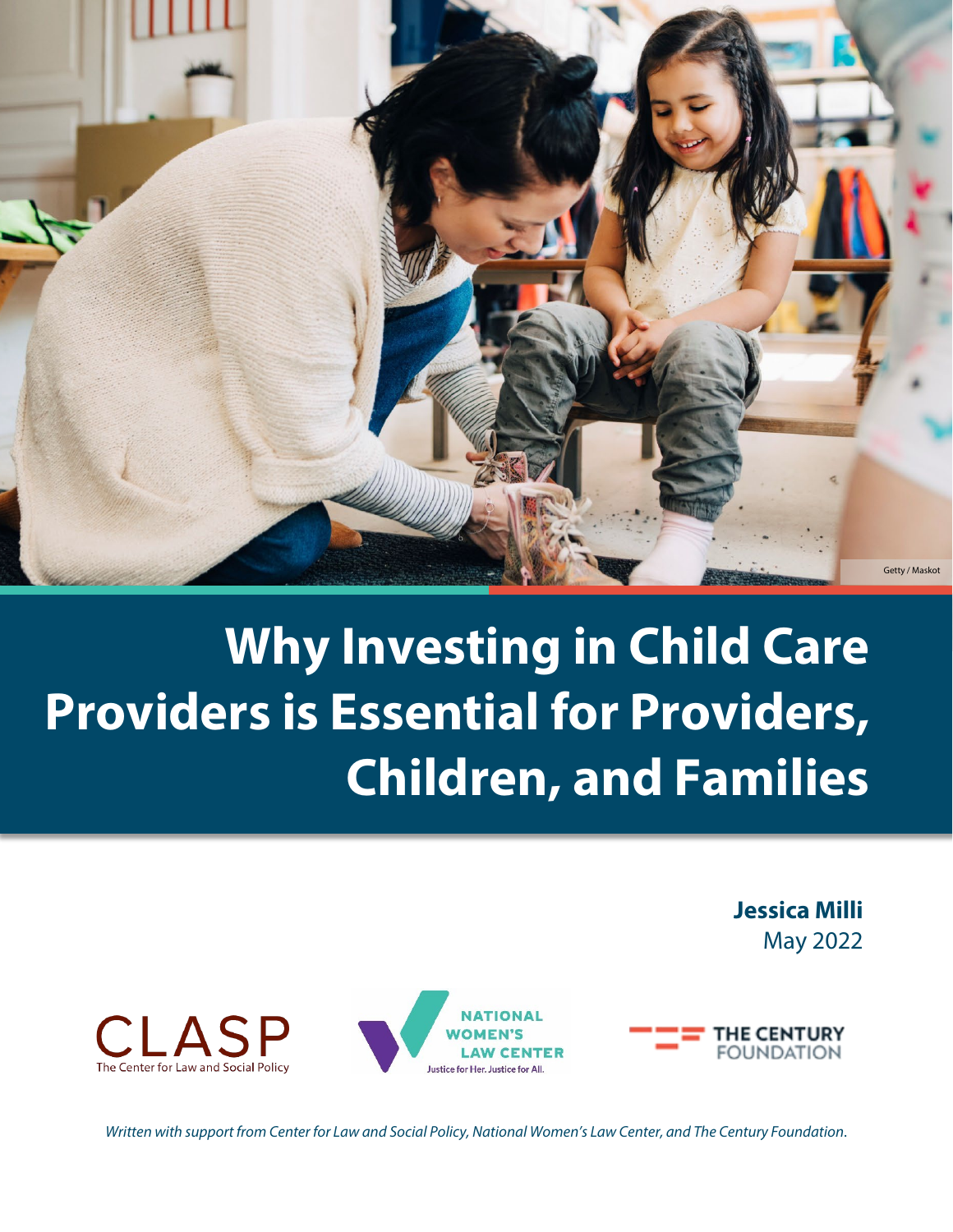

# **Why Investing in Child Care Providers is Essential for Providers, Children, and Families**

**Jessica Milli** May 2022







*Written with support from Center for Law and Social Policy, National Women's Law Center, and The Century Foundation*.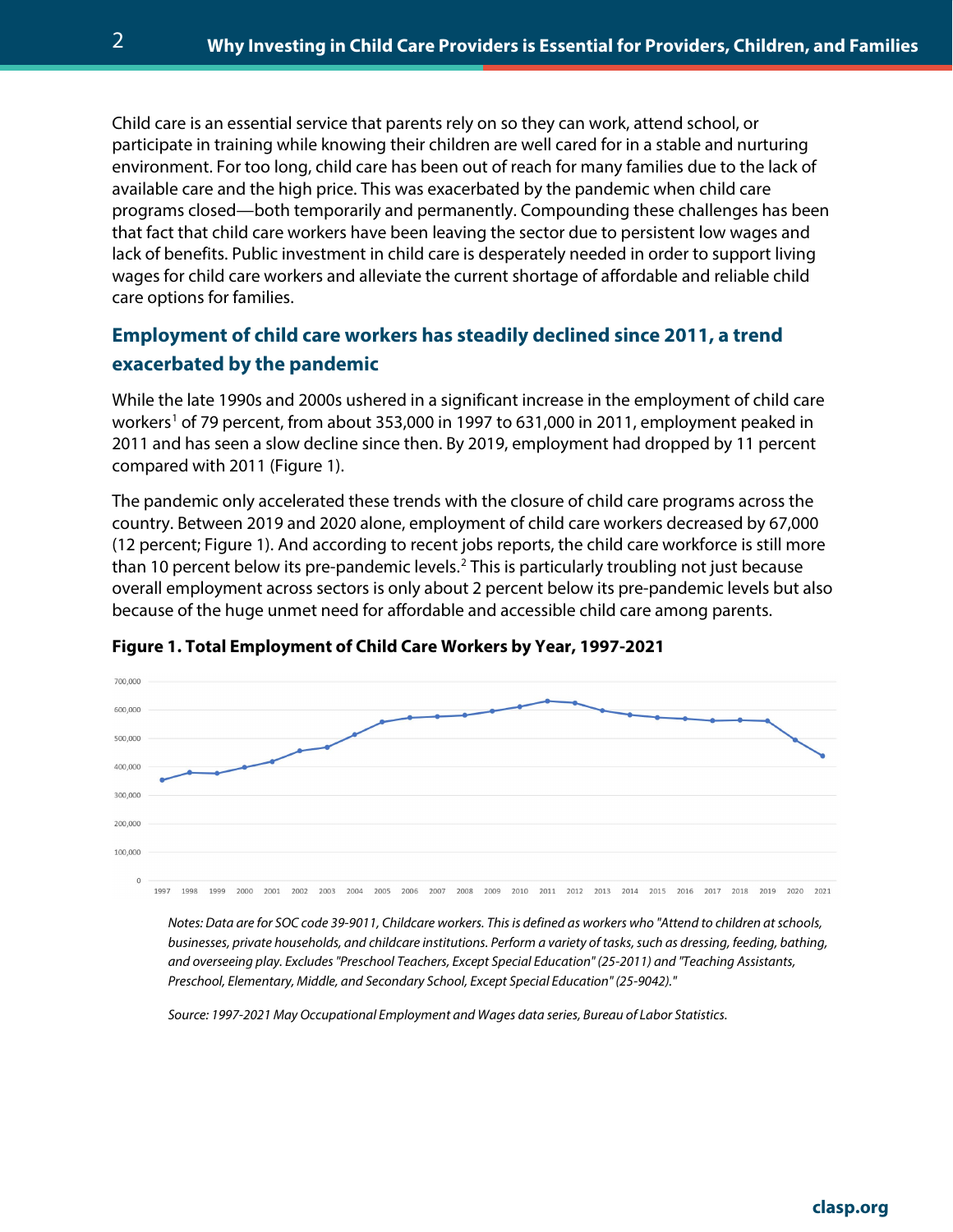Child care is an essential service that parents rely on so they can work, attend school, or participate in training while knowing their children are well cared for in a stable and nurturing environment. For too long, child care has been out of reach for many families due to the lack of available care and the high price. This was exacerbated by the pandemic when child care programs closed—both temporarily and permanently. Compounding these challenges has been that fact that child care workers have been leaving the sector due to persistent low wages and lack of benefits. Public investment in child care is desperately needed in order to support living wages for child care workers and alleviate the current shortage of affordable and reliable child care options for families.

### **Employment of child care workers has steadily declined since 2011, a trend exacerbated by the pandemic**

While the late 1990s and 2000s ushered in a significant increase in the employment of child care workers<sup>[1](#page-6-0)</sup> of 79 percent, from about 353,000 in 1997 to 631,000 in 2011, employment peaked in 2011 and has seen a slow decline since then. By 2019, employment had dropped by 11 percent compared with 2011 (Figure 1).

The pandemic only accelerated these trends with the closure of child care programs across the country. Between 2019 and 2020 alone, employment of child care workers decreased by 67,000 (12 percent; Figure 1). And according to recent jobs reports, the child care workforce is still more than 10 percent below its pre-pandemic levels.<sup>[2](#page-6-1)</sup> This is particularly troubling not just because overall employment across sectors is only about 2 percent below its pre-pandemic levels but also because of the huge unmet need for affordable and accessible child care among parents.



#### **Figure 1. Total Employment of Child Care Workers by Year, 1997-2021**

*Notes: Data are for SOC code 39-9011, Childcare workers. This is defined as workers who "Attend to children at schools, businesses, private households, and childcare institutions. Perform a variety of tasks, such as dressing, feeding, bathing, and overseeing play. Excludes "Preschool Teachers, Except Special Education" (25-2011) and "Teaching Assistants, Preschool, Elementary, Middle, and Secondary School, Except Special Education" (25-9042)."* 

*Source: 1997-2021 May Occupational Employment and Wages data series, Bureau of Labor Statistics.*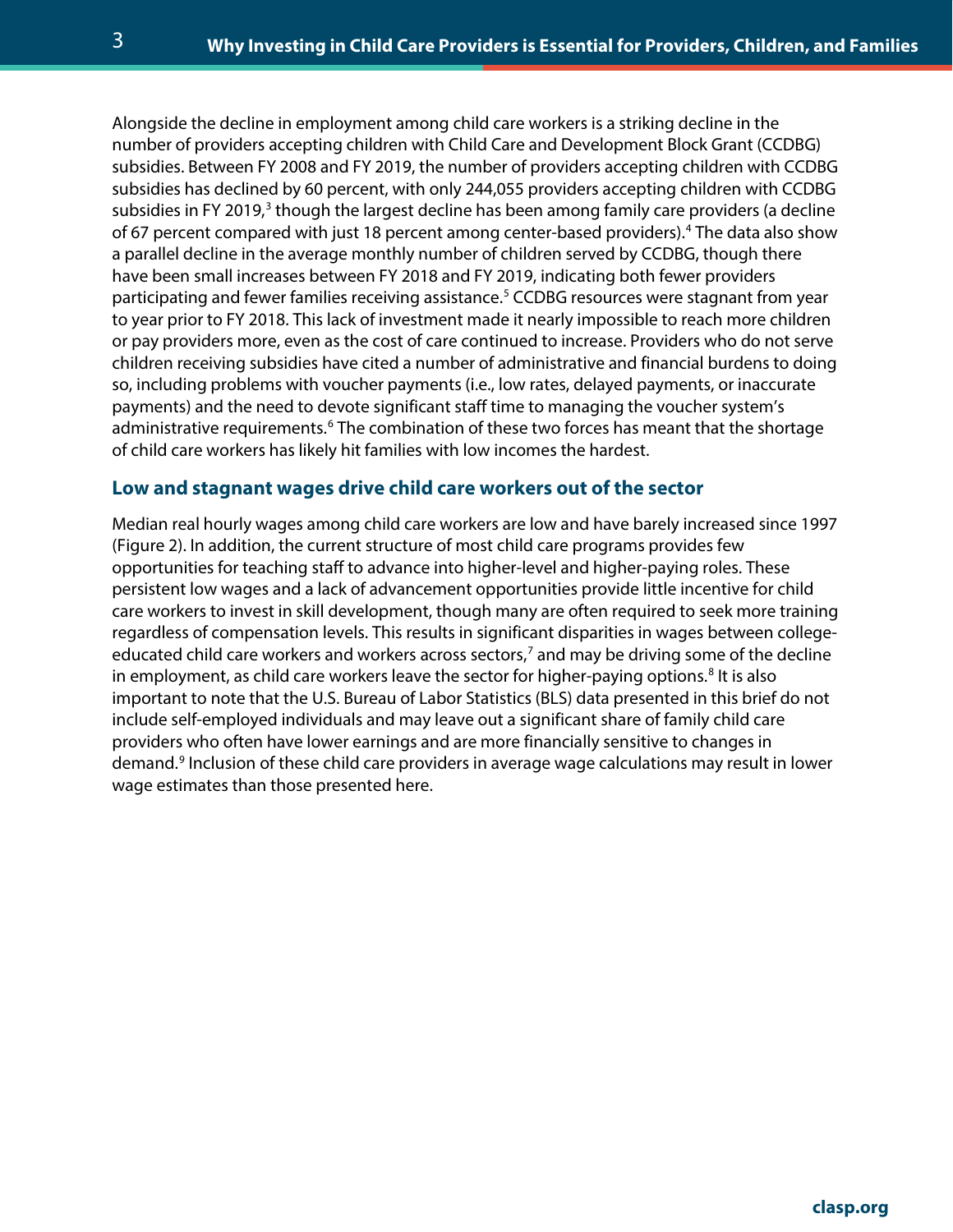Alongside the decline in employment among child care workers is a striking decline in the number of providers accepting children with Child Care and Development Block Grant (CCDBG) subsidies. Between FY 2008 and FY 2019, the number of providers accepting children with CCDBG subsidies has declined by 60 percent, with only 244,055 providers accepting children with CCDBG subsidies in FY 2019,<sup>[3](#page-6-2)</sup> though the largest decline has been among family care providers (a decline of 67 percent compared with just 18 percent among center-based providers).[4](#page-6-3) The data also show a parallel decline in the average monthly number of children served by CCDBG, though there have been small increases between FY 2018 and FY 2019, indicating both fewer providers participating and fewer families receiving assistance.<sup>[5](#page-6-4)</sup> CCDBG resources were stagnant from year to year prior to FY 2018. This lack of investment made it nearly impossible to reach more children or pay providers more, even as the cost of care continued to increase. Providers who do not serve children receiving subsidies have cited a number of administrative and financial burdens to doing so, including problems with voucher payments (i.e., low rates, delayed payments, or inaccurate payments) and the need to devote significant staff time to managing the voucher system's administrative requirements.<sup>[6](#page-6-5)</sup> The combination of these two forces has meant that the shortage of child care workers has likely hit families with low incomes the hardest.

#### **Low and stagnant wages drive child care workers out of the sector**

Median real hourly wages among child care workers are low and have barely increased since 1997 (Figure 2). In addition, the current structure of most child care programs provides few opportunities for teaching staff to advance into higher-level and higher-paying roles. These persistent low wages and a lack of advancement opportunities provide little incentive for child care workers to invest in skill development, though many are often required to seek more training regardless of compensation levels. This results in significant disparities in wages between college-educated child care workers and workers across sectors,<sup>[7](#page-6-6)</sup> and may be driving some of the decline in employment, as child care workers leave the sector for higher-paying options.<sup>[8](#page-6-7)</sup> It is also important to note that the U.S. Bureau of Labor Statistics (BLS) data presented in this brief do not include self-employed individuals and may leave out a significant share of family child care providers who often have lower earnings and are more financially sensitive to changes in demand.<sup>[9](#page-6-8)</sup> Inclusion of these child care providers in average wage calculations may result in lower wage estimates than those presented here.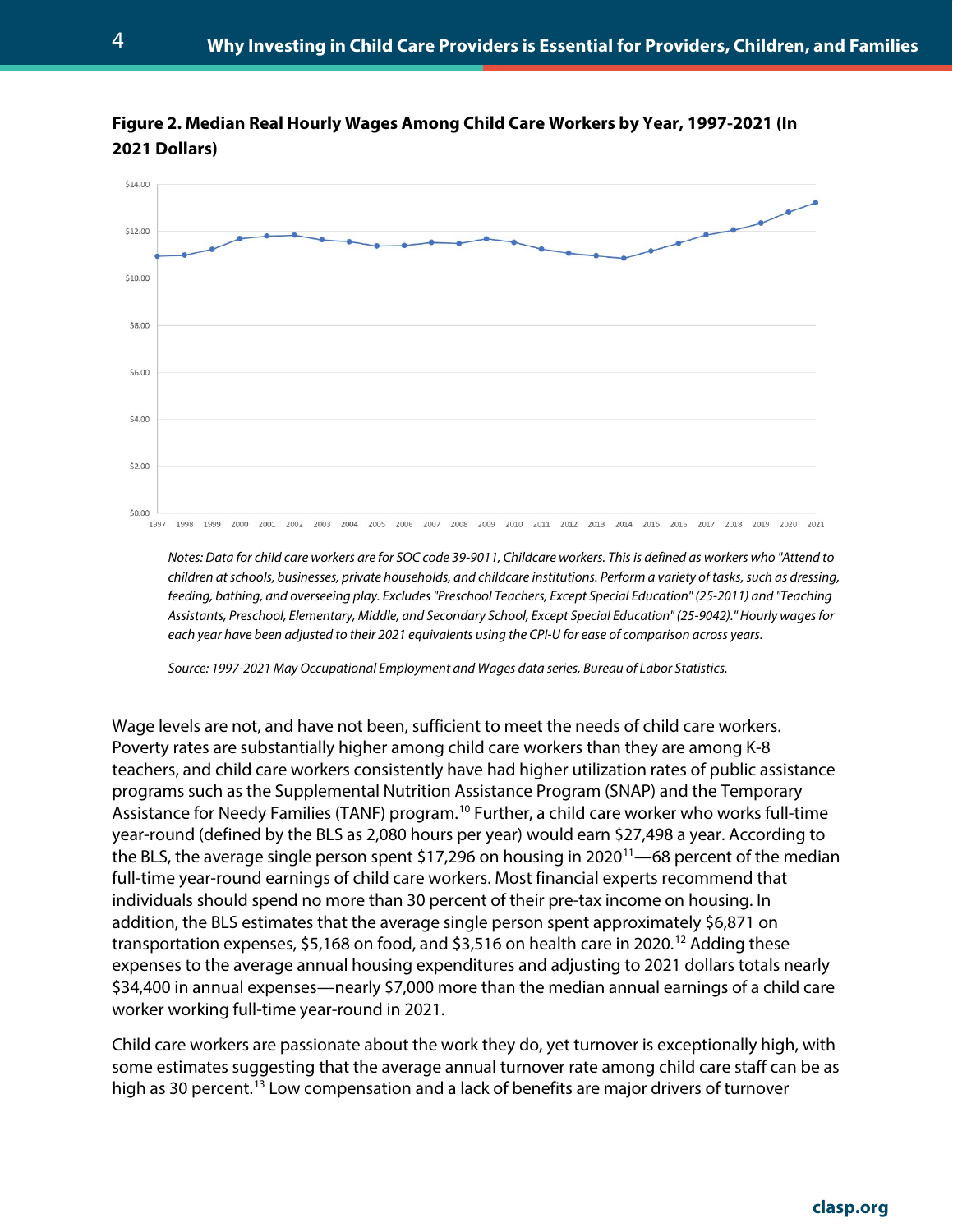



*Notes: Data for child care workers are for SOC code 39-9011, Childcare workers. This is defined as workers who "Attend to children at schools, businesses, private households, and childcare institutions. Perform a variety of tasks, such as dressing, feeding, bathing, and overseeing play. Excludes "Preschool Teachers, Except Special Education" (25-2011) and "Teaching Assistants, Preschool, Elementary, Middle, and Secondary School, Except Special Education" (25-9042)." Hourly wages for each year have been adjusted to their 2021 equivalents using the CPI-U for ease of comparison across years.*

*Source: 1997-2021 May Occupational Employment and Wages data series, Bureau of Labor Statistics.*

Wage levels are not, and have not been, sufficient to meet the needs of child care workers. Poverty rates are substantially higher among child care workers than they are among K-8 teachers, and child care workers consistently have had higher utilization rates of public assistance programs such as the Supplemental Nutrition Assistance Program (SNAP) and the Temporary Assistance for Needy Families (TANF) program.<sup>[10](#page-6-9)</sup> Further, a child care worker who works full-time year-round (defined by the BLS as 2,080 hours per year) would earn \$27,498 a year. According to the BLS, the average single person spent \$17,296 on housing in 2020<sup>11</sup>—68 percent of the median full-time year-round earnings of child care workers. Most financial experts recommend that individuals should spend no more than 30 percent of their pre-tax income on housing. In addition, the BLS estimates that the average single person spent approximately \$6,871 on transportation expenses, \$5,168 on food, and \$3,516 on health care in 2020.<sup>[12](#page-7-1)</sup> Adding these expenses to the average annual housing expenditures and adjusting to 2021 dollars totals nearly \$34,400 in annual expenses—nearly \$7,000 more than the median annual earnings of a child care worker working full-time year-round in 2021.

Child care workers are passionate about the work they do, yet turnover is exceptionally high, with some estimates suggesting that the average annual turnover rate among child care staff can be as high as 30 percent.<sup>[13](#page-7-2)</sup> Low compensation and a lack of benefits are major drivers of turnover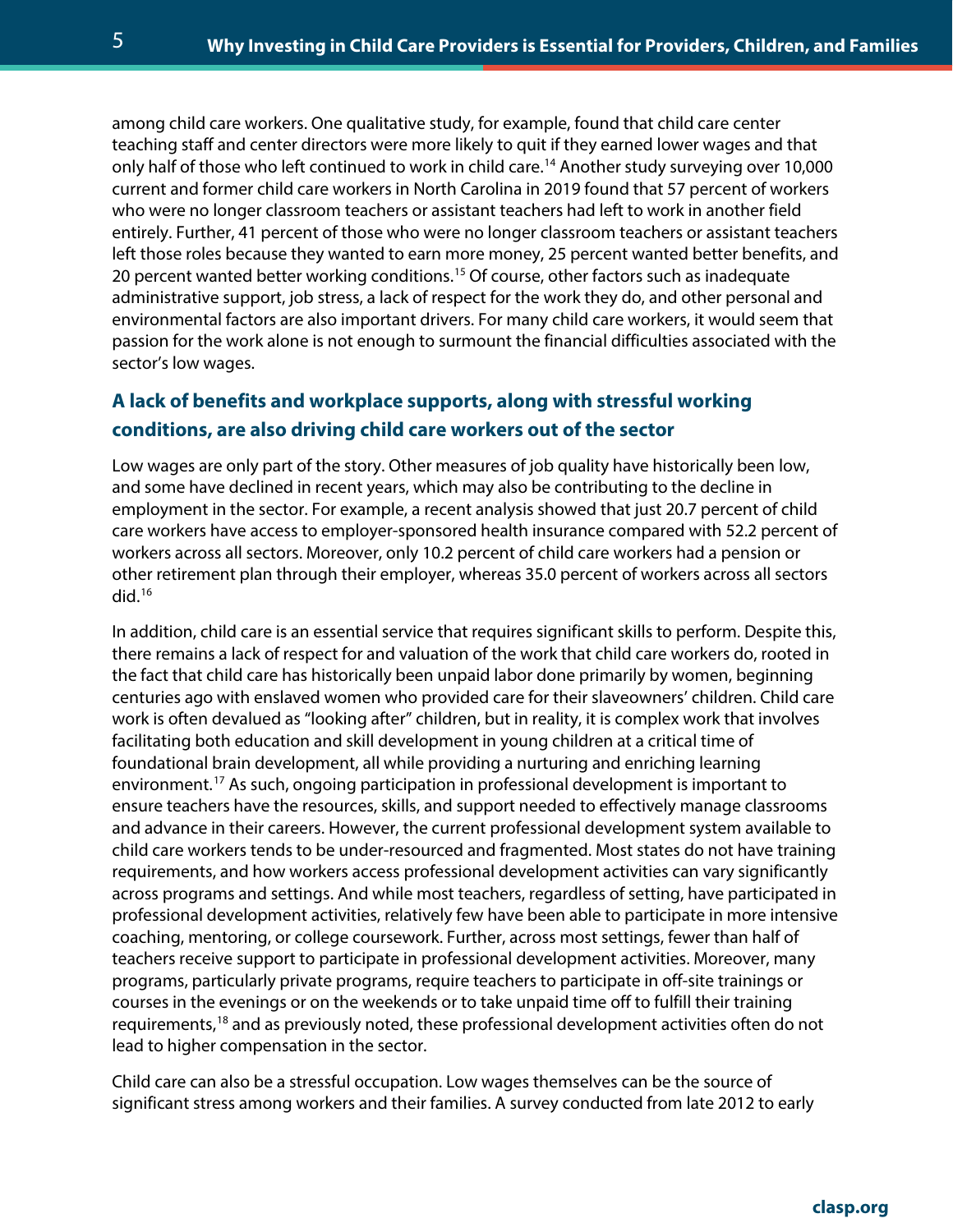among child care workers. One qualitative study, for example, found that child care center teaching staff and center directors were more likely to quit if they earned lower wages and that only half of those who left continued to work in child care.[14](#page-7-3) Another study surveying over 10,000 current and former child care workers in North Carolina in 2019 found that 57 percent of workers who were no longer classroom teachers or assistant teachers had left to work in another field entirely. Further, 41 percent of those who were no longer classroom teachers or assistant teachers left those roles because they wanted to earn more money, 25 percent wanted better benefits, and 20 percent wanted better working conditions.<sup>[15](#page-7-4)</sup> Of course, other factors such as inadequate administrative support, job stress, a lack of respect for the work they do, and other personal and environmental factors are also important drivers. For many child care workers, it would seem that passion for the work alone is not enough to surmount the financial difficulties associated with the sector's low wages.

### **A lack of benefits and workplace supports, along with stressful working conditions, are also driving child care workers out of the sector**

Low wages are only part of the story. Other measures of job quality have historically been low, and some have declined in recent years, which may also be contributing to the decline in employment in the sector. For example, a recent analysis showed that just 20.7 percent of child care workers have access to employer-sponsored health insurance compared with 52.2 percent of workers across all sectors. Moreover, only 10.2 percent of child care workers had a pension or other retirement plan through their employer, whereas 35.0 percent of workers across all sectors did.[16](#page-7-5)

In addition, child care is an essential service that requires significant skills to perform. Despite this, there remains a lack of respect for and valuation of the work that child care workers do, rooted in the fact that child care has historically been unpaid labor done primarily by women, beginning centuries ago with enslaved women who provided care for their slaveowners' children. Child care work is often devalued as "looking after" children, but in reality, it is complex work that involves facilitating both education and skill development in young children at a critical time of foundational brain development, all while providing a nurturing and enriching learning environment. [17](#page-7-6) As such, ongoing participation in professional development is important to ensure teachers have the resources, skills, and support needed to effectively manage classrooms and advance in their careers. However, the current professional development system available to child care workers tends to be under-resourced and fragmented. Most states do not have training requirements, and how workers access professional development activities can vary significantly across programs and settings. And while most teachers, regardless of setting, have participated in professional development activities, relatively few have been able to participate in more intensive coaching, mentoring, or college coursework. Further, across most settings, fewer than half of teachers receive support to participate in professional development activities. Moreover, many programs, particularly private programs, require teachers to participate in off-site trainings or courses in the evenings or on the weekends or to take unpaid time off to fulfill their training requirements,<sup>[18](#page-7-7)</sup> and as previously noted, these professional development activities often do not lead to higher compensation in the sector.

Child care can also be a stressful occupation. Low wages themselves can be the source of significant stress among workers and their families. A survey conducted from late 2012 to early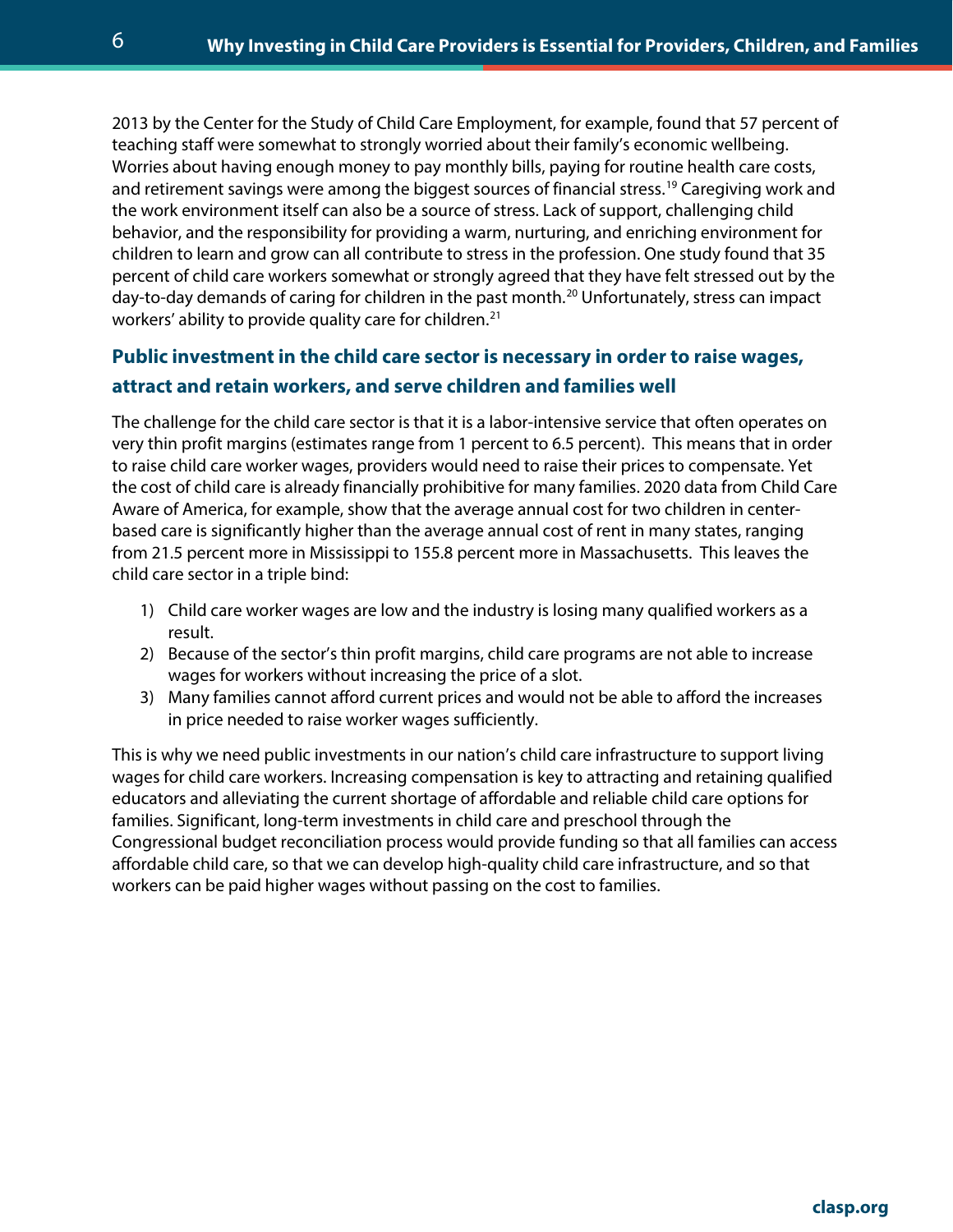2013 by the Center for the Study of Child Care Employment, for example, found that 57 percent of teaching staff were somewhat to strongly worried about their family's economic wellbeing. Worries about having enough money to pay monthly bills, paying for routine health care costs, and retirement savings were among the biggest sources of financial stress. [19](#page-7-8) Caregiving work and the work environment itself can also be a source of stress. Lack of support, challenging child behavior, and the responsibility for providing a warm, nurturing, and enriching environment for children to learn and grow can all contribute to stress in the profession. One study found that 35 percent of child care workers somewhat or strongly agreed that they have felt stressed out by the day-to-day demands of caring for children in the past month.<sup>[20](#page-7-9)</sup> Unfortunately, stress can impact workers' ability to provide quality care for children.<sup>[21](#page-7-10)</sup>

## **Public investment in the child care sector is necessary in order to raise wages, attract and retain workers, and serve children and families well**

The challenge for the child care sector is that it is a labor-intensive service that often operates on very thin profit margins (estimates range from 1 percent to 6.5 percent). This means that in order to raise child care worker wages, providers would need to raise their prices to compensate. Yet the cost of child care is already financially prohibitive for many families. 2020 data from Child Care Aware of America, for example, show that the average annual cost for two children in centerbased care is significantly higher than the average annual cost of rent in many states, ranging from 21.5 percent more in Mississippi to 155.8 percent more in Massachusetts. This leaves the child care sector in a triple bind:

- 1) Child care worker wages are low and the industry is losing many qualified workers as a result.
- 2) Because of the sector's thin profit margins, child care programs are not able to increase wages for workers without increasing the price of a slot.
- 3) Many families cannot afford current prices and would not be able to afford the increases in price needed to raise worker wages sufficiently.

This is why we need public investments in our nation's child care infrastructure to support living wages for child care workers. Increasing compensation is key to attracting and retaining qualified educators and alleviating the current shortage of affordable and reliable child care options for families. Significant, long-term investments in child care and preschool through the Congressional budget reconciliation process would provide funding so that all families can access affordable child care, so that we can develop high-quality child care infrastructure, and so that workers can be paid higher wages without passing on the cost to families.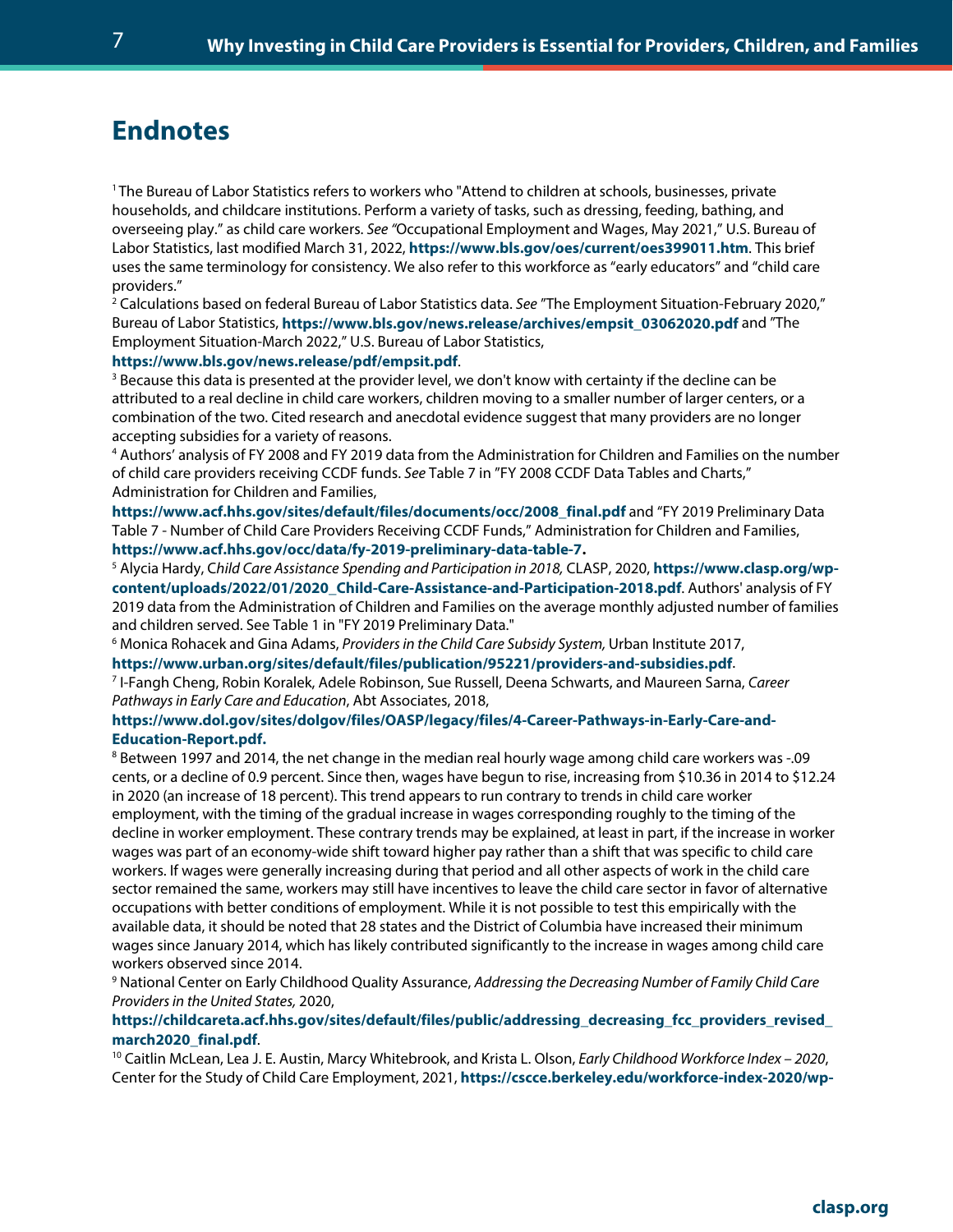# **Endnotes**

<span id="page-6-0"></span><sup>1</sup> The Bureau of Labor Statistics refers to workers who "Attend to children at schools, businesses, private households, and childcare institutions. Perform a variety of tasks, such as dressing, feeding, bathing, and overseeing play." as child care workers. *See "*Occupational Employment and Wages, May 2021," U.S. Bureau of Labor Statistics, last modified March 31, 2022, **<https://www.bls.gov/oes/current/oes399011.htm>**. This brief uses the same terminology for consistency. We also refer to this workforce as "early educators" and "child care providers."

<span id="page-6-1"></span><sup>2</sup> Calculations based on federal Bureau of Labor Statistics data. *See* "The Employment Situation-February 2020," Bureau of Labor Statistics, **[https://www.bls.gov/news.release/archives/empsit\\_03062020.pdf](https://www.bls.gov/news.release/archives/empsit_03062020.pdf)** and "The Employment Situation-March 2022," U.S. Bureau of Labor Statistics,

<span id="page-6-2"></span>**https://www[.](https://www.bls.gov/news.release/pdf/empsit.pdf)bls.gov/news.release/pdf/empsit.pdf**.<br><sup>3</sup> Because this data is presented at the provider level, we don't know with certainty if the decline can be attributed to a real decline in child care workers, children moving to a smaller number of larger centers, or a combination of the two. Cited research and anecdotal evidence suggest that many providers are no longer accepting subsidies for a variety of reasons.

<span id="page-6-3"></span><sup>4</sup> Authors' analysis of FY 2008 and FY 2019 data from the Administration for Children and Families on the number of child care providers receiving CCDF funds. *See* Table 7 in "FY 2008 CCDF Data Tables and Charts," Administration for Children and Families,

**https://www.acf.hhs.gov/sites/default/files/documents/occ/2008\_final.pdf** and "FY 2019 Preliminary Data Table 7 - Number of Child Care Providers Receiving CCDF Funds," Administration for Children and Families, **[https://www.acf.hhs.gov/occ/data/fy-2019-preliminary-data-table-7.](https://www.acf.hhs.gov/occ/data/fy-2019-preliminary-data-table-7)** 

<span id="page-6-4"></span><sup>5</sup> Alycia Hardy, C*hild Care Assistance Spending and Participation in 2018,* CLASP, 2020, **[https://www.clasp.org/wp](https://www.clasp.org/wp-content/uploads/2022/01/2020_Child-Care-Assistance-and-Participation-2018.pdf)[content/uploads/2022/01/2020\\_Child-Care-Assistance-and-Participation-2018.pdf](https://www.clasp.org/wp-content/uploads/2022/01/2020_Child-Care-Assistance-and-Participation-2018.pdf)**. Authors' analysis of FY 2019 data from the Administration of Children and Families on the average monthly adjusted number of families and children served. See Table 1 in "FY 2019 Preliminary Data."

<span id="page-6-5"></span><sup>6</sup> Monica Rohacek and Gina Adams, *Providers in the Child Care Subsidy System,* Urban Institute 2017, **<https://www.urban.org/sites/default/files/publication/95221/providers-and-subsidies.pdf>**.

<span id="page-6-6"></span><sup>7</sup> I-Fangh Cheng, Robin Koralek, Adele Robinson, Sue Russell, Deena Schwarts, and Maureen Sarna, *Career Pathways in Early Care and Education*, Abt Associates, 2018,

#### **[https://www.dol.gov/sites/dolgov/files/OASP/legacy/files/4-Career-Pathways-in-Early-Care-and-](https://www.dol.gov/sites/dolgov/files/OASP/legacy/files/4-Career-Pathways-in-Early-Care-and-Education-Report.pdf)[Education-Report.pdf.](https://www.dol.gov/sites/dolgov/files/OASP/legacy/files/4-Career-Pathways-in-Early-Care-and-Education-Report.pdf)**

<span id="page-6-7"></span><sup>8</sup> Between 1997 and 2014, the net change in the median real hourly wage among child care workers was -.09 cents, or a decline of 0.9 percent. Since then, wages have begun to rise, increasing from \$10.36 in 2014 to \$12.24 in 2020 (an increase of 18 percent). This trend appears to run contrary to trends in child care worker employment, with the timing of the gradual increase in wages corresponding roughly to the timing of the decline in worker employment. These contrary trends may be explained, at least in part, if the increase in worker wages was part of an economy-wide shift toward higher pay rather than a shift that was specific to child care workers. If wages were generally increasing during that period and all other aspects of work in the child care sector remained the same, workers may still have incentives to leave the child care sector in favor of alternative occupations with better conditions of employment. While it is not possible to test this empirically with the available data, it should be noted that 28 states and the District of Columbia have increased their minimum wages since January 2014, which has likely contributed significantly to the increase in wages among child care workers observed since 2014.<br><sup>9</sup> National Center on Early Childhood Quality Assurance, *Addressing the Decreasing Number of Family Child Care* 

<span id="page-6-8"></span>*Providers in the United States,* 2020,

# **[https://childcareta.acf.hhs.gov/sites/default/files/public/addressing\\_decreasing\\_fcc\\_providers\\_revised\\_](https://childcareta.acf.hhs.gov/sites/default/files/public/addressing_decreasing_fcc_providers_revised_march2020_final.pdf)**

<span id="page-6-9"></span>**march2020\_final[.](https://childcareta.acf.hhs.gov/sites/default/files/public/addressing_decreasing_fcc_providers_revised_march2020_final.pdf)pdf**.<br><sup>10</sup> Caitlin McLean, Lea J. E. Austin, Marcy Whitebrook, and Krista L. Olson, *Early Childhood Workforce Index – 2020*, Center for the Study of Child Care Employment, 2021, **[https://cscce.berkeley.edu/workforce-index-2020/wp-](https://cscce.berkeley.edu/workforce-index-2020/wp-content/uploads/sites/2/2021/02/Early-Childhood-Workforce-Index-2020.pdf)**